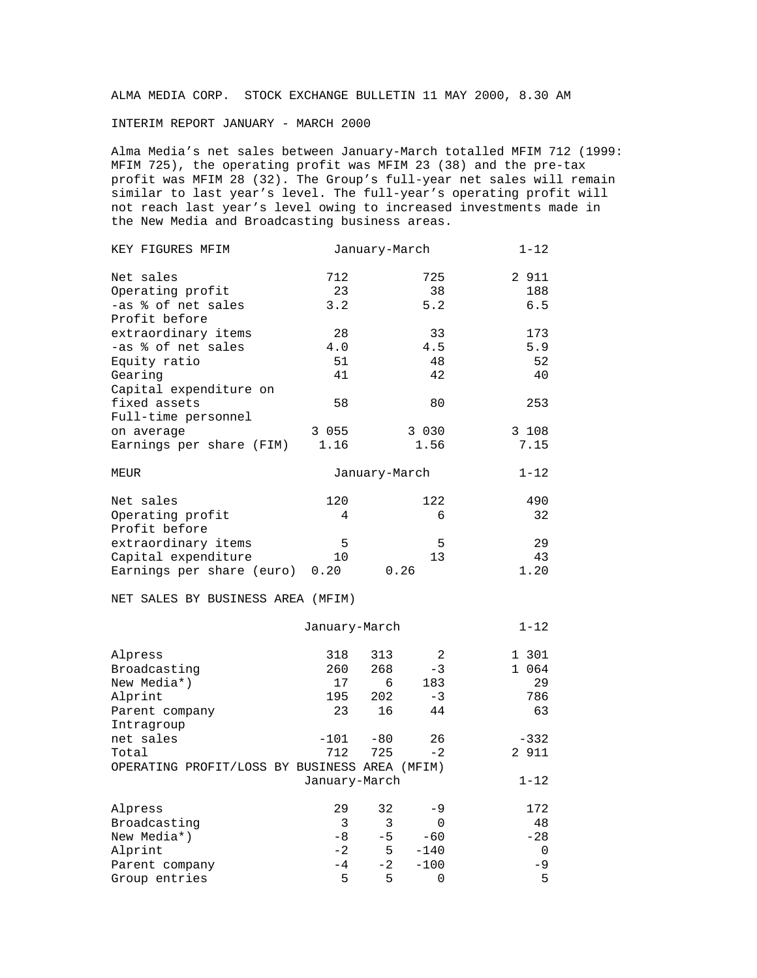ALMA MEDIA CORP. STOCK EXCHANGE BULLETIN 11 MAY 2000, 8.30 AM

INTERIM REPORT JANUARY - MARCH 2000

Alma Media's net sales between January-March totalled MFIM 712 (1999: MFIM 725), the operating profit was MFIM 23 (38) and the pre-tax profit was MFIM 28 (32). The Group's full-year net sales will remain similar to last year's level. The full-year's operating profit will not reach last year's level owing to increased investments made in the New Media and Broadcasting business areas.

| KEY FIGURES MFIM                              |               | January-March |          | $1 - 12$ |
|-----------------------------------------------|---------------|---------------|----------|----------|
| Net sales                                     | 712           |               | 725      | 2 911    |
| Operating profit                              | 23            |               | 38       | 188      |
| -as % of net sales                            | 3.2           |               | 5.2      | 6.5      |
| Profit before                                 |               |               |          |          |
| extraordinary items                           | 28            |               | 33       | 173      |
| -as % of net sales                            | 4.0           |               | 4.5      | 5.9      |
| Equity ratio                                  | 51            |               | 48       | 52       |
| Gearing                                       | 41            |               | 42       | 40       |
| Capital expenditure on                        |               |               |          |          |
| fixed assets                                  | 58            |               | 80       | 253      |
| Full-time personnel                           |               |               |          |          |
| on average                                    | 3 055         |               | 3 0 3 0  | 3 108    |
| Earnings per share (FIM)                      | 1.16          |               | 1.56     | 7.15     |
| <b>MEUR</b>                                   |               | January-March |          | $1 - 12$ |
|                                               |               |               |          |          |
| Net sales                                     | 120           |               | 122      | 490      |
| Operating profit                              | 4             |               | 6        | 32       |
| Profit before                                 |               |               |          |          |
| extraordinary items                           | 5             |               | 5        | 29       |
| Capital expenditure                           | 10            |               | 13       | 43       |
| Earnings per share (euro) 0.20                |               | 0.26          |          | 1.20     |
| NET SALES BY BUSINESS AREA (MFIM)             |               |               |          |          |
|                                               | January-March |               |          | $1 - 12$ |
| Alpress                                       | 318           | 313           | 2        | 1 301    |
| Broadcasting                                  | 260           | 268           | $-3$     | 1 064    |
| New Media*)                                   | 17            | 6             | 183      | 29       |
| Alprint                                       | 195           | 202           | $-3$     | 786      |
| Parent company                                | 23            | 16            | 44       | 63       |
| Intragroup                                    |               |               |          |          |
| net sales                                     | $-101$        | $-80$         | 26       | $-332$   |
| Total                                         | 712           | 725           | $-2$     | 2 911    |
| OPERATING PROFIT/LOSS BY BUSINESS AREA (MFIM) |               |               |          |          |
|                                               | January-March |               |          | $1 - 12$ |
|                                               |               |               |          |          |
| Alpress                                       | 29            | 32            | -9       | 172      |
| Broadcasting                                  | 3             | 3             | 0        | 48       |
| New Media*)                                   | -8            | $-5$          | $-60$    | $-28$    |
| Alprint                                       | $-2$          | 5             | $-140$   | 0        |
| Parent company                                | $-4$          | $-2$          | $-100$   | -9       |
| Group entries                                 | 5             | 5             | $\Omega$ | 5        |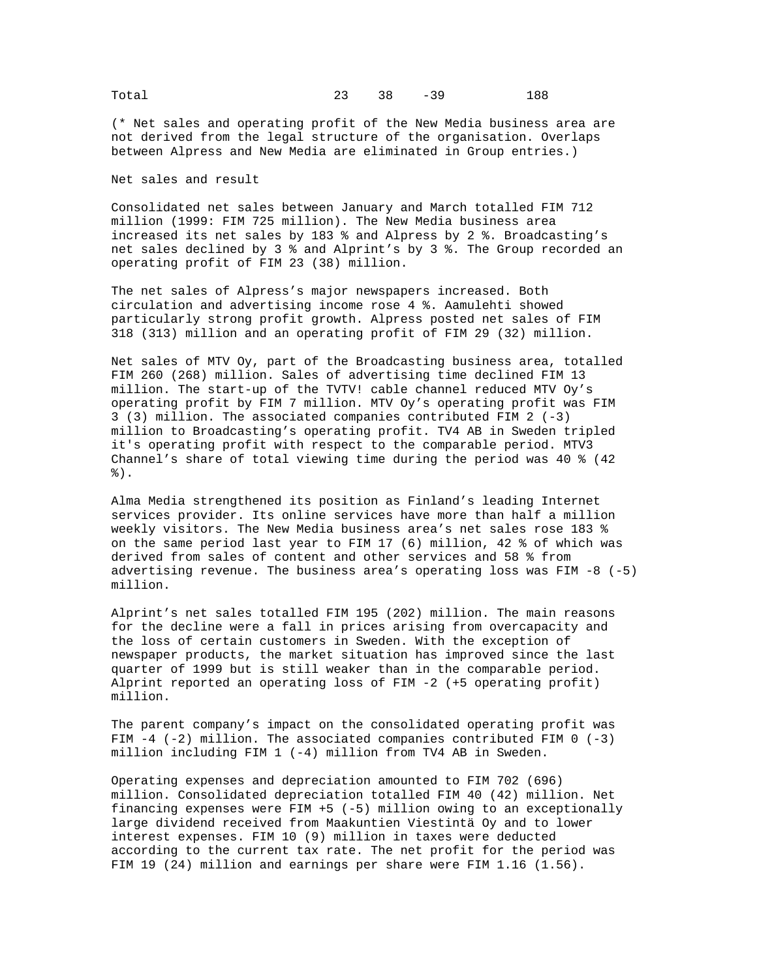(\* Net sales and operating profit of the New Media business area are not derived from the legal structure of the organisation. Overlaps between Alpress and New Media are eliminated in Group entries.)

Net sales and result

Consolidated net sales between January and March totalled FIM 712 million (1999: FIM 725 million). The New Media business area increased its net sales by 183 % and Alpress by 2 %. Broadcasting's net sales declined by 3 % and Alprint's by 3 %. The Group recorded an operating profit of FIM 23 (38) million.

The net sales of Alpress's major newspapers increased. Both circulation and advertising income rose 4 %. Aamulehti showed particularly strong profit growth. Alpress posted net sales of FIM 318 (313) million and an operating profit of FIM 29 (32) million.

Net sales of MTV Oy, part of the Broadcasting business area, totalled FIM 260 (268) million. Sales of advertising time declined FIM 13 million. The start-up of the TVTV! cable channel reduced MTV Oy's operating profit by FIM 7 million. MTV Oy's operating profit was FIM 3 (3) million. The associated companies contributed FIM 2 (-3) million to Broadcasting's operating profit. TV4 AB in Sweden tripled it's operating profit with respect to the comparable period. MTV3 Channel's share of total viewing time during the period was 40 % (42 %).

Alma Media strengthened its position as Finland's leading Internet services provider. Its online services have more than half a million weekly visitors. The New Media business area's net sales rose 183 % on the same period last year to FIM 17 (6) million, 42 % of which was derived from sales of content and other services and 58 % from advertising revenue. The business area's operating loss was FIM -8 (-5) million.

Alprint's net sales totalled FIM 195 (202) million. The main reasons for the decline were a fall in prices arising from overcapacity and the loss of certain customers in Sweden. With the exception of newspaper products, the market situation has improved since the last quarter of 1999 but is still weaker than in the comparable period. Alprint reported an operating loss of FIM -2 (+5 operating profit) million.

The parent company's impact on the consolidated operating profit was FIM  $-4$  (-2) million. The associated companies contributed FIM 0 (-3) million including FIM 1 (-4) million from TV4 AB in Sweden.

Operating expenses and depreciation amounted to FIM 702 (696) million. Consolidated depreciation totalled FIM 40 (42) million. Net financing expenses were FIM +5 (-5) million owing to an exceptionally large dividend received from Maakuntien Viestintä Oy and to lower interest expenses. FIM 10 (9) million in taxes were deducted according to the current tax rate. The net profit for the period was FIM 19 (24) million and earnings per share were FIM 1.16 (1.56).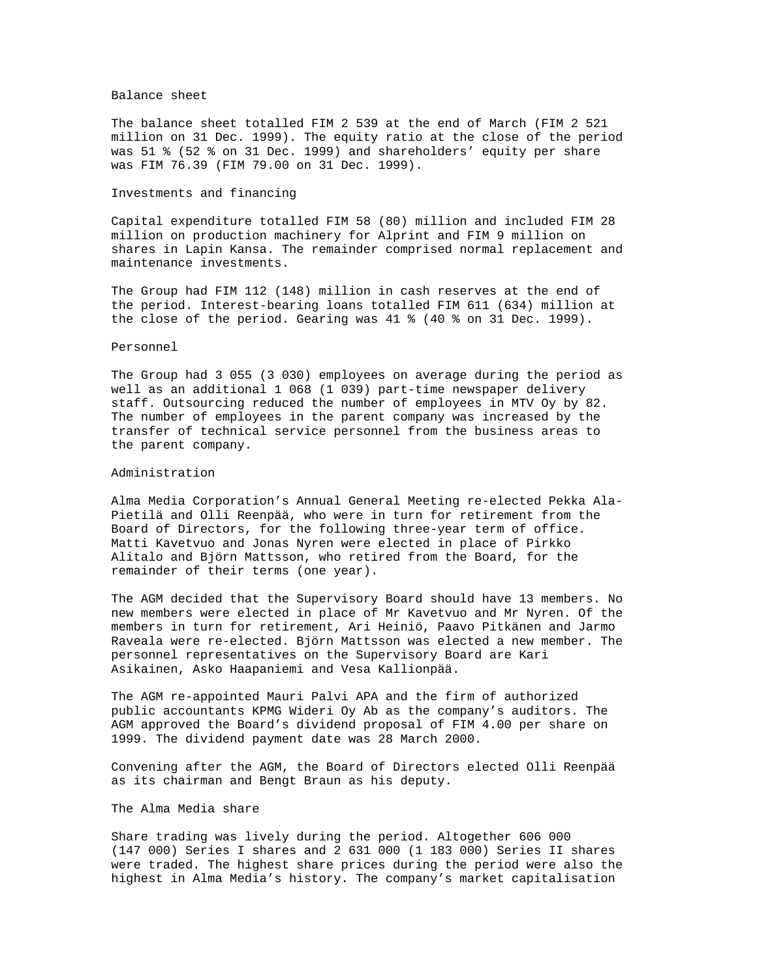## Balance sheet

The balance sheet totalled FIM 2 539 at the end of March (FIM 2 521 million on 31 Dec. 1999). The equity ratio at the close of the period was 51 % (52 % on 31 Dec. 1999) and shareholders' equity per share was FIM 76.39 (FIM 79.00 on 31 Dec. 1999).

## Investments and financing

Capital expenditure totalled FIM 58 (80) million and included FIM 28 million on production machinery for Alprint and FIM 9 million on shares in Lapin Kansa. The remainder comprised normal replacement and maintenance investments.

The Group had FIM 112 (148) million in cash reserves at the end of the period. Interest-bearing loans totalled FIM 611 (634) million at the close of the period. Gearing was 41 % (40 % on 31 Dec. 1999).

## Personnel

The Group had 3 055 (3 030) employees on average during the period as well as an additional 1 068 (1 039) part-time newspaper delivery staff. Outsourcing reduced the number of employees in MTV Oy by 82. The number of employees in the parent company was increased by the transfer of technical service personnel from the business areas to the parent company.

## Administration

Alma Media Corporation's Annual General Meeting re-elected Pekka Ala-Pietilä and Olli Reenpää, who were in turn for retirement from the Board of Directors, for the following three-year term of office. Matti Kavetvuo and Jonas Nyren were elected in place of Pirkko Alitalo and Björn Mattsson, who retired from the Board, for the remainder of their terms (one year).

The AGM decided that the Supervisory Board should have 13 members. No new members were elected in place of Mr Kavetvuo and Mr Nyren. Of the members in turn for retirement, Ari Heiniö, Paavo Pitkänen and Jarmo Raveala were re-elected. Björn Mattsson was elected a new member. The personnel representatives on the Supervisory Board are Kari Asikainen, Asko Haapaniemi and Vesa Kallionpää.

The AGM re-appointed Mauri Palvi APA and the firm of authorized public accountants KPMG Wideri Oy Ab as the company's auditors. The AGM approved the Board's dividend proposal of FIM 4.00 per share on 1999. The dividend payment date was 28 March 2000.

Convening after the AGM, the Board of Directors elected Olli Reenpää as its chairman and Bengt Braun as his deputy.

# The Alma Media share

Share trading was lively during the period. Altogether 606 000 (147 000) Series I shares and 2 631 000 (1 183 000) Series II shares were traded. The highest share prices during the period were also the highest in Alma Media's history. The company's market capitalisation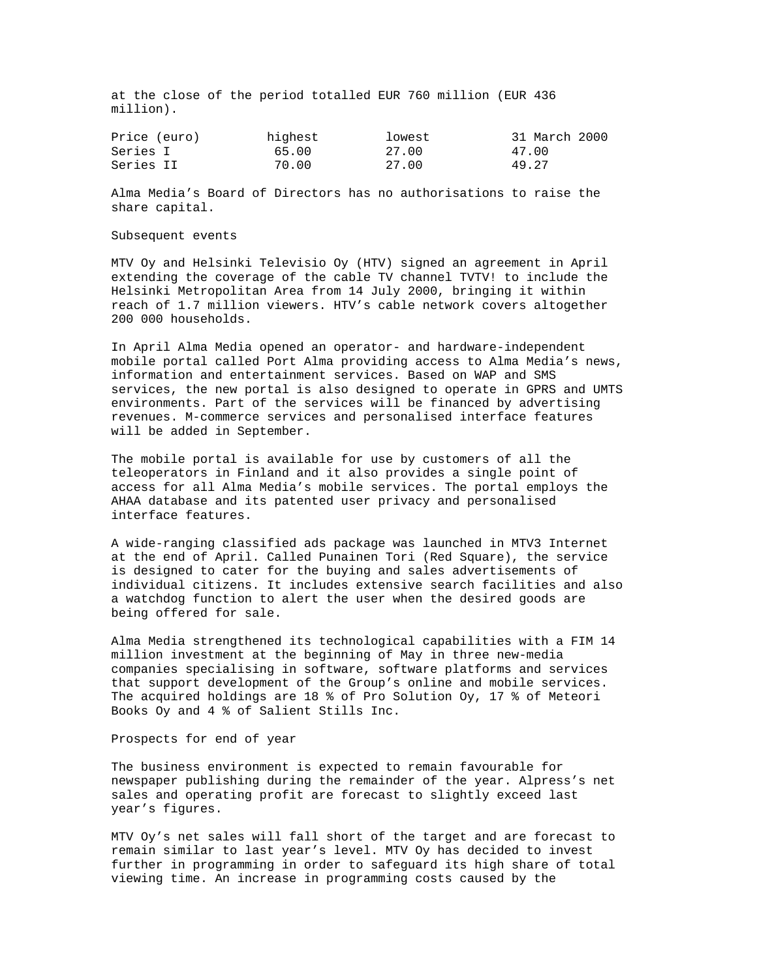at the close of the period totalled EUR 760 million (EUR 436 million).

| Price (euro) | highest | lowest | 31 March 2000 |
|--------------|---------|--------|---------------|
| Series I     | 65.00   | 27.00  | 47.00         |
| Series II    | 70.00   | 27.00  | 49.27         |

Alma Media's Board of Directors has no authorisations to raise the share capital.

#### Subsequent events

MTV Oy and Helsinki Televisio Oy (HTV) signed an agreement in April extending the coverage of the cable TV channel TVTV! to include the Helsinki Metropolitan Area from 14 July 2000, bringing it within reach of 1.7 million viewers. HTV's cable network covers altogether 200 000 households.

In April Alma Media opened an operator- and hardware-independent mobile portal called Port Alma providing access to Alma Media's news, information and entertainment services. Based on WAP and SMS services, the new portal is also designed to operate in GPRS and UMTS environments. Part of the services will be financed by advertising revenues. M-commerce services and personalised interface features will be added in September.

The mobile portal is available for use by customers of all the teleoperators in Finland and it also provides a single point of access for all Alma Media's mobile services. The portal employs the AHAA database and its patented user privacy and personalised interface features.

A wide-ranging classified ads package was launched in MTV3 Internet at the end of April. Called Punainen Tori (Red Square), the service is designed to cater for the buying and sales advertisements of individual citizens. It includes extensive search facilities and also a watchdog function to alert the user when the desired goods are being offered for sale.

Alma Media strengthened its technological capabilities with a FIM 14 million investment at the beginning of May in three new-media companies specialising in software, software platforms and services that support development of the Group's online and mobile services. The acquired holdings are 18 % of Pro Solution Oy, 17 % of Meteori Books Oy and 4 % of Salient Stills Inc.

Prospects for end of year

The business environment is expected to remain favourable for newspaper publishing during the remainder of the year. Alpress's net sales and operating profit are forecast to slightly exceed last year's figures.

MTV Oy's net sales will fall short of the target and are forecast to remain similar to last year's level. MTV Oy has decided to invest further in programming in order to safeguard its high share of total viewing time. An increase in programming costs caused by the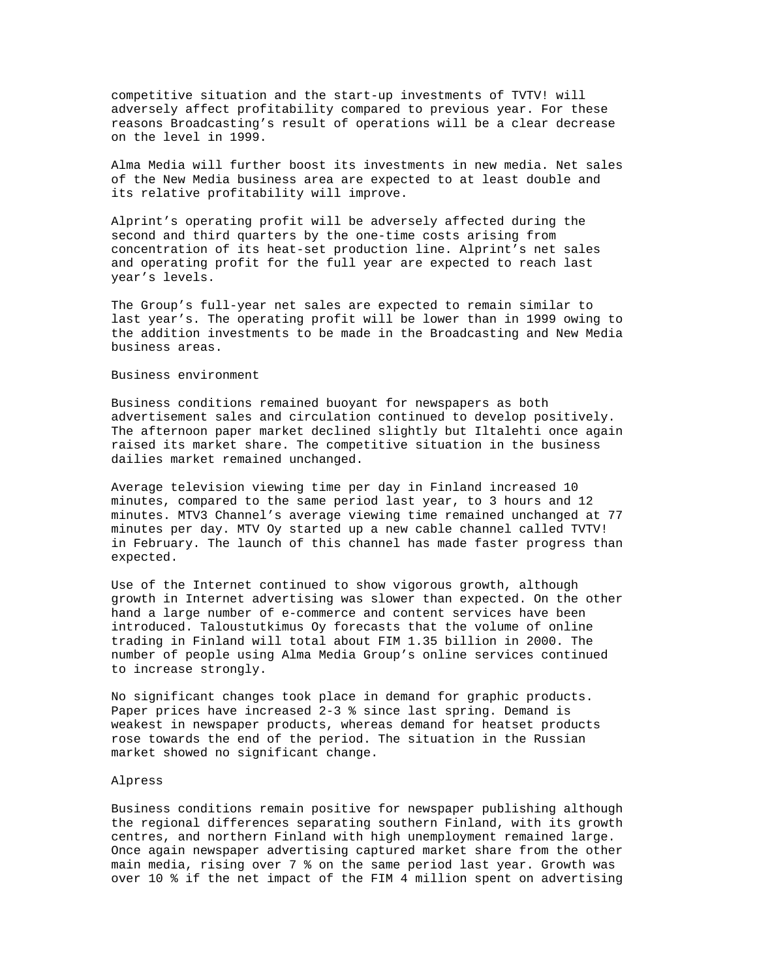competitive situation and the start-up investments of TVTV! will adversely affect profitability compared to previous year. For these reasons Broadcasting's result of operations will be a clear decrease on the level in 1999.

Alma Media will further boost its investments in new media. Net sales of the New Media business area are expected to at least double and its relative profitability will improve.

Alprint's operating profit will be adversely affected during the second and third quarters by the one-time costs arising from concentration of its heat-set production line. Alprint's net sales and operating profit for the full year are expected to reach last year's levels.

The Group's full-year net sales are expected to remain similar to last year's. The operating profit will be lower than in 1999 owing to the addition investments to be made in the Broadcasting and New Media business areas.

#### Business environment

Business conditions remained buoyant for newspapers as both advertisement sales and circulation continued to develop positively. The afternoon paper market declined slightly but Iltalehti once again raised its market share. The competitive situation in the business dailies market remained unchanged.

Average television viewing time per day in Finland increased 10 minutes, compared to the same period last year, to 3 hours and 12 minutes. MTV3 Channel's average viewing time remained unchanged at 77 minutes per day. MTV Oy started up a new cable channel called TVTV! in February. The launch of this channel has made faster progress than expected.

Use of the Internet continued to show vigorous growth, although growth in Internet advertising was slower than expected. On the other hand a large number of e-commerce and content services have been introduced. Taloustutkimus Oy forecasts that the volume of online trading in Finland will total about FIM 1.35 billion in 2000. The number of people using Alma Media Group's online services continued to increase strongly.

No significant changes took place in demand for graphic products. Paper prices have increased 2-3 % since last spring. Demand is weakest in newspaper products, whereas demand for heatset products rose towards the end of the period. The situation in the Russian market showed no significant change.

#### Alpress

Business conditions remain positive for newspaper publishing although the regional differences separating southern Finland, with its growth centres, and northern Finland with high unemployment remained large. Once again newspaper advertising captured market share from the other main media, rising over 7 % on the same period last year. Growth was over 10 % if the net impact of the FIM 4 million spent on advertising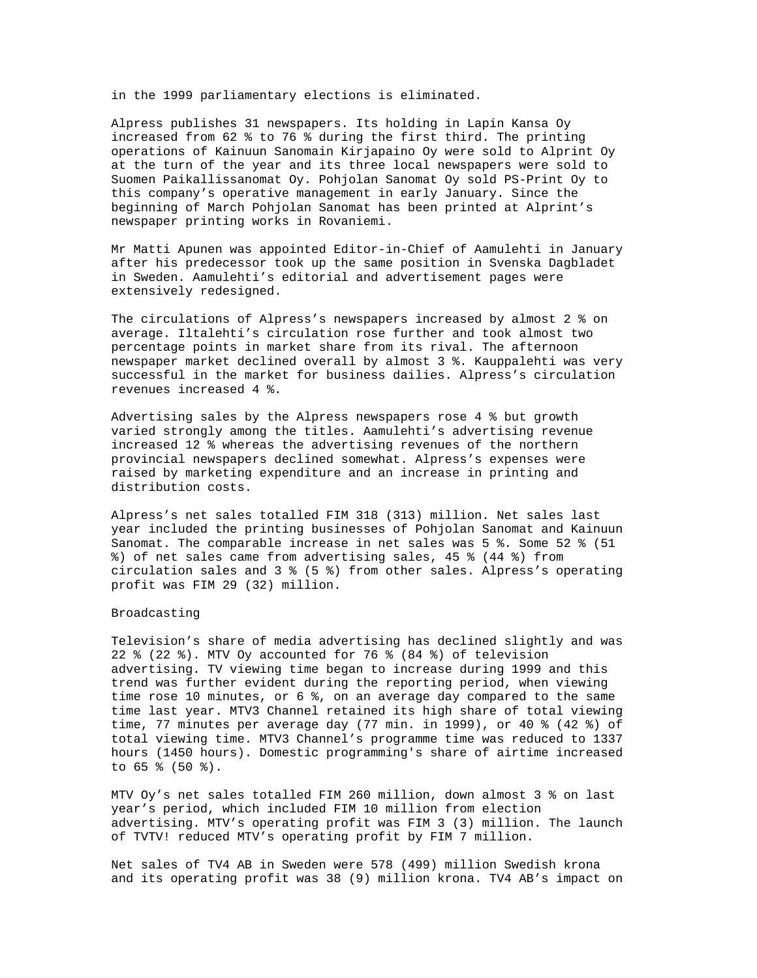in the 1999 parliamentary elections is eliminated.

Alpress publishes 31 newspapers. Its holding in Lapin Kansa Oy increased from 62 % to 76 % during the first third. The printing operations of Kainuun Sanomain Kirjapaino Oy were sold to Alprint Oy at the turn of the year and its three local newspapers were sold to Suomen Paikallissanomat Oy. Pohjolan Sanomat Oy sold PS-Print Oy to this company's operative management in early January. Since the beginning of March Pohjolan Sanomat has been printed at Alprint's newspaper printing works in Rovaniemi.

Mr Matti Apunen was appointed Editor-in-Chief of Aamulehti in January after his predecessor took up the same position in Svenska Dagbladet in Sweden. Aamulehti's editorial and advertisement pages were extensively redesigned.

The circulations of Alpress's newspapers increased by almost 2 % on average. Iltalehti's circulation rose further and took almost two percentage points in market share from its rival. The afternoon newspaper market declined overall by almost 3 %. Kauppalehti was very successful in the market for business dailies. Alpress's circulation revenues increased 4 %.

Advertising sales by the Alpress newspapers rose 4 % but growth varied strongly among the titles. Aamulehti's advertising revenue increased 12 % whereas the advertising revenues of the northern provincial newspapers declined somewhat. Alpress's expenses were raised by marketing expenditure and an increase in printing and distribution costs.

Alpress's net sales totalled FIM 318 (313) million. Net sales last year included the printing businesses of Pohjolan Sanomat and Kainuun Sanomat. The comparable increase in net sales was 5 %. Some 52 % (51 %) of net sales came from advertising sales, 45 % (44 %) from circulation sales and 3 % (5 %) from other sales. Alpress's operating profit was FIM 29 (32) million.

## Broadcasting

Television's share of media advertising has declined slightly and was 22 % (22 %). MTV Oy accounted for 76 % (84 %) of television advertising. TV viewing time began to increase during 1999 and this trend was further evident during the reporting period, when viewing time rose 10 minutes, or 6 %, on an average day compared to the same time last year. MTV3 Channel retained its high share of total viewing time, 77 minutes per average day (77 min. in 1999), or 40 % (42 %) of total viewing time. MTV3 Channel's programme time was reduced to 1337 hours (1450 hours). Domestic programming's share of airtime increased to 65 % (50 %).

MTV Oy's net sales totalled FIM 260 million, down almost 3 % on last year's period, which included FIM 10 million from election advertising. MTV's operating profit was FIM 3 (3) million. The launch of TVTV! reduced MTV's operating profit by FIM 7 million.

Net sales of TV4 AB in Sweden were 578 (499) million Swedish krona and its operating profit was 38 (9) million krona. TV4 AB's impact on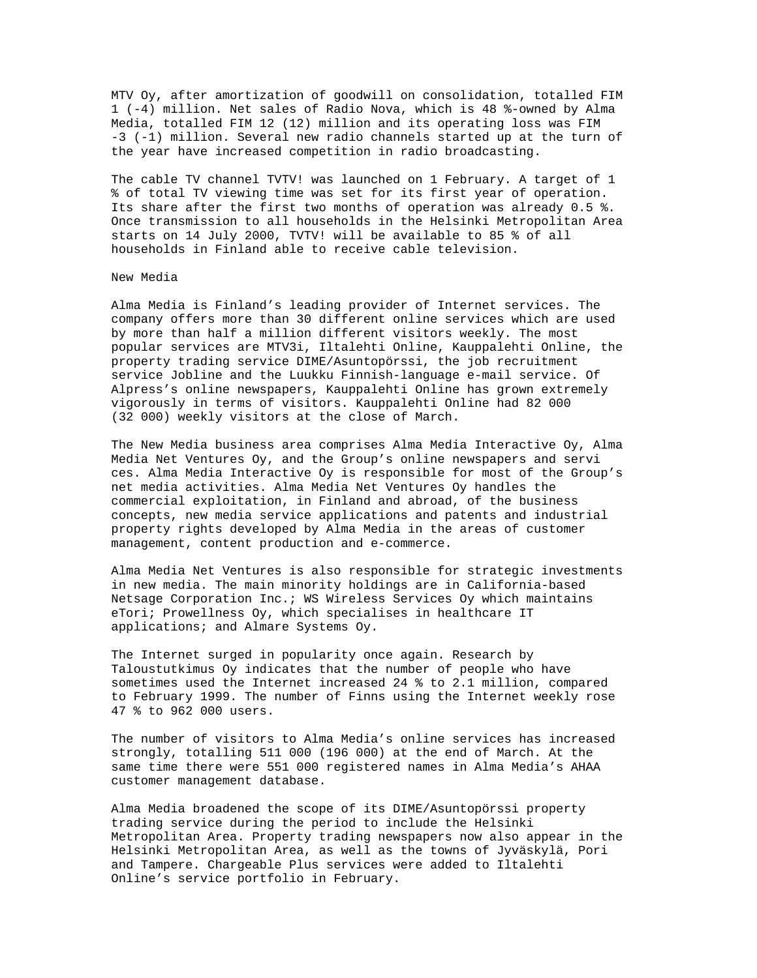MTV Oy, after amortization of goodwill on consolidation, totalled FIM 1 (-4) million. Net sales of Radio Nova, which is 48 %-owned by Alma Media, totalled FIM 12 (12) million and its operating loss was FIM -3 (-1) million. Several new radio channels started up at the turn of the year have increased competition in radio broadcasting.

The cable TV channel TVTV! was launched on 1 February. A target of 1 % of total TV viewing time was set for its first year of operation. Its share after the first two months of operation was already 0.5 %. Once transmission to all households in the Helsinki Metropolitan Area starts on 14 July 2000, TVTV! will be available to 85 % of all households in Finland able to receive cable television.

### New Media

Alma Media is Finland's leading provider of Internet services. The company offers more than 30 different online services which are used by more than half a million different visitors weekly. The most popular services are MTV3i, Iltalehti Online, Kauppalehti Online, the property trading service DIME/Asuntopörssi, the job recruitment service Jobline and the Luukku Finnish-language e-mail service. Of Alpress's online newspapers, Kauppalehti Online has grown extremely vigorously in terms of visitors. Kauppalehti Online had 82 000 (32 000) weekly visitors at the close of March.

The New Media business area comprises Alma Media Interactive Oy, Alma Media Net Ventures Oy, and the Group's online newspapers and servi ces. Alma Media Interactive Oy is responsible for most of the Group's net media activities. Alma Media Net Ventures Oy handles the commercial exploitation, in Finland and abroad, of the business concepts, new media service applications and patents and industrial property rights developed by Alma Media in the areas of customer management, content production and e-commerce.

Alma Media Net Ventures is also responsible for strategic investments in new media. The main minority holdings are in California-based Netsage Corporation Inc.; WS Wireless Services Oy which maintains eTori; Prowellness Oy, which specialises in healthcare IT applications; and Almare Systems Oy.

The Internet surged in popularity once again. Research by Taloustutkimus Oy indicates that the number of people who have sometimes used the Internet increased 24 % to 2.1 million, compared to February 1999. The number of Finns using the Internet weekly rose 47 % to 962 000 users.

The number of visitors to Alma Media's online services has increased strongly, totalling 511 000 (196 000) at the end of March. At the same time there were 551 000 registered names in Alma Media's AHAA customer management database.

Alma Media broadened the scope of its DIME/Asuntopörssi property trading service during the period to include the Helsinki Metropolitan Area. Property trading newspapers now also appear in the Helsinki Metropolitan Area, as well as the towns of Jyväskylä, Pori and Tampere. Chargeable Plus services were added to Iltalehti Online's service portfolio in February.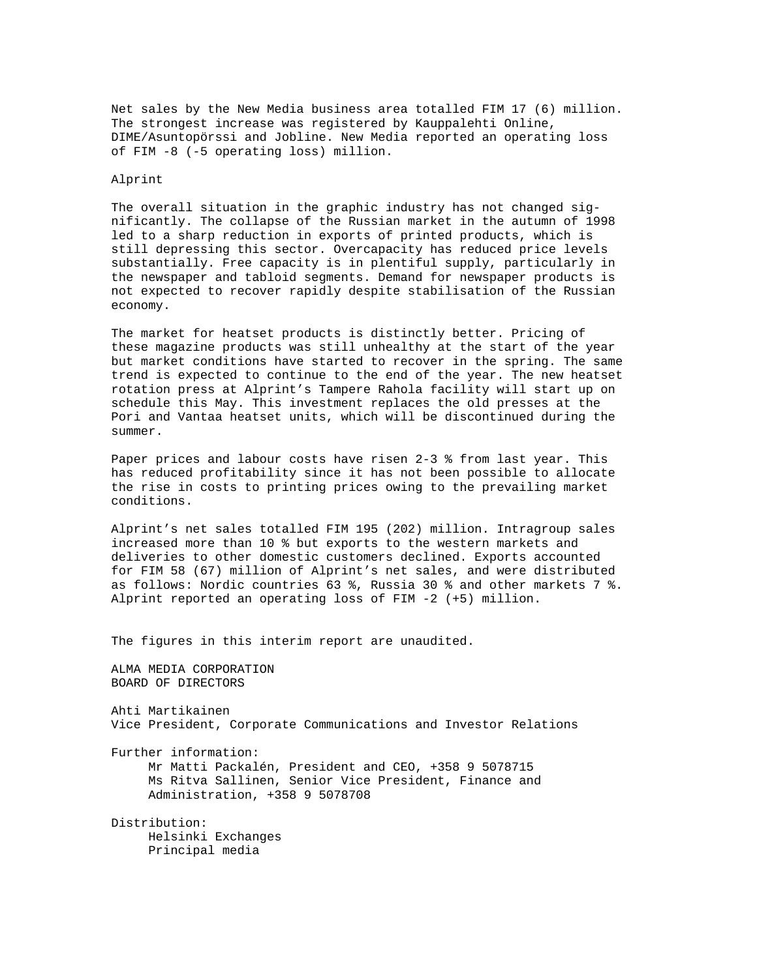Net sales by the New Media business area totalled FIM 17 (6) million. The strongest increase was registered by Kauppalehti Online, DIME/Asuntopörssi and Jobline. New Media reported an operating loss of FIM -8 (-5 operating loss) million.

#### Alprint

The overall situation in the graphic industry has not changed significantly. The collapse of the Russian market in the autumn of 1998 led to a sharp reduction in exports of printed products, which is still depressing this sector. Overcapacity has reduced price levels substantially. Free capacity is in plentiful supply, particularly in the newspaper and tabloid segments. Demand for newspaper products is not expected to recover rapidly despite stabilisation of the Russian economy.

The market for heatset products is distinctly better. Pricing of these magazine products was still unhealthy at the start of the year but market conditions have started to recover in the spring. The same trend is expected to continue to the end of the year. The new heatset rotation press at Alprint's Tampere Rahola facility will start up on schedule this May. This investment replaces the old presses at the Pori and Vantaa heatset units, which will be discontinued during the summer.

Paper prices and labour costs have risen 2-3 % from last year. This has reduced profitability since it has not been possible to allocate the rise in costs to printing prices owing to the prevailing market conditions.

Alprint's net sales totalled FIM 195 (202) million. Intragroup sales increased more than 10 % but exports to the western markets and deliveries to other domestic customers declined. Exports accounted for FIM 58 (67) million of Alprint's net sales, and were distributed as follows: Nordic countries 63 %, Russia 30 % and other markets 7 %. Alprint reported an operating loss of FIM -2 (+5) million.

The figures in this interim report are unaudited.

ALMA MEDIA CORPORATION BOARD OF DIRECTORS

Ahti Martikainen Vice President, Corporate Communications and Investor Relations

Further information:

 Mr Matti Packalén, President and CEO, +358 9 5078715 Ms Ritva Sallinen, Senior Vice President, Finance and Administration, +358 9 5078708

Distribution: Helsinki Exchanges Principal media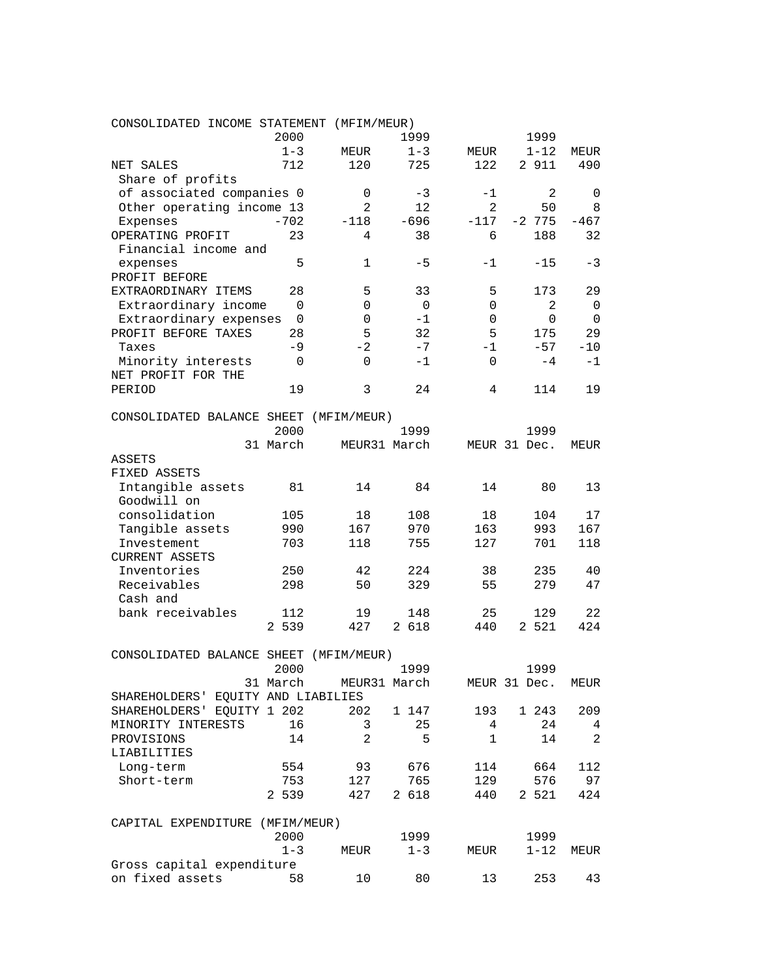| CONSOLIDATED INCOME STATEMENT          |             | (MFIM/MEUR)    |             |              |              |        |
|----------------------------------------|-------------|----------------|-------------|--------------|--------------|--------|
|                                        | 2000        |                | 1999        |              | 1999         |        |
|                                        | $1 - 3$     | MEUR           | $1 - 3$     | MEUR         | $1 - 12$     | MEUR   |
| NET SALES                              | 712         | 120            | 725         | 122          | 2 911        | 490    |
| Share of profits                       |             |                |             |              |              |        |
| of associated companies 0              |             | 0              | -3          | -1           | 2            | 0      |
| Other operating income 13              |             | $\overline{a}$ | 12          | 2            | 50           | 8      |
| Expenses                               | $-702$      | $-118$         | $-696$      | $-117$       | $-2$ 775     | $-467$ |
| OPERATING PROFIT                       | 23          | 4              | 38          | 6            | 188          | 32     |
| Financial income and                   |             |                |             |              |              |        |
| expenses                               | 5           | 1              | $-5$        | $-1$         | $-15$        | -3     |
| PROFIT BEFORE                          |             |                |             |              |              |        |
| EXTRAORDINARY ITEMS                    | 28          | 5              | 33          | 5            | 173          | 29     |
| Extraordinary income                   | $\mathbf 0$ | 0              | $\mathbf 0$ | 0            | 2            | 0      |
| Extraordinary expenses                 | 0           | 0              | $-1$        | 0            | 0            | 0      |
| PROFIT BEFORE TAXES                    | 28          | 5              | 32          | 5            | 175          | 29     |
|                                        |             | $-2$           | $-7$        | $-1$         |              |        |
| Taxes                                  | -9          |                |             |              | $-57$        | $-10$  |
| Minority interests                     | 0           | $\Omega$       | $-1$        | $\Omega$     | $-4$         | $-1$   |
| NET PROFIT FOR THE                     |             |                |             |              |              |        |
| PERIOD                                 | 19          | 3              | 24          | 4            | 114          | 19     |
|                                        |             |                |             |              |              |        |
| CONSOLIDATED BALANCE SHEET (MFIM/MEUR) |             |                |             |              |              |        |
|                                        | 2000        |                | 1999        |              | 1999         |        |
|                                        | 31 March    | MEUR31 March   |             |              | MEUR 31 Dec. | MEUR   |
| ASSETS                                 |             |                |             |              |              |        |
| FIXED ASSETS                           |             |                |             |              |              |        |
| Intangible assets                      | 81          | 14             | 84          | 14           | 80           | 13     |
| Goodwill on                            |             |                |             |              |              |        |
| consolidation                          | 105         | 18             | 108         | 18           | 104          | 17     |
| Tangible assets                        | 990         | 167            | 970         | 163          | 993          | 167    |
| Investement                            | 703         | 118            | 755         | 127          | 701          | 118    |
| <b>CURRENT ASSETS</b>                  |             |                |             |              |              |        |
| Inventories                            | 250         | 42             | 224         | 38           | 235          | 40     |
| Receivables                            | 298         | 50             | 329         | 55           | 279          | 47     |
| Cash and                               |             |                |             |              |              |        |
| bank receivables                       | 112         | 19             | 148         | 25           | 129          | 22     |
|                                        | 2 539       | 427            | 2 618       | 440          | 2 5 2 1      | 424    |
|                                        |             |                |             |              |              |        |
| CONSOLIDATED BALANCE SHEET (MFIM/MEUR) |             |                |             |              |              |        |
|                                        |             |                | 1999        |              | 1999         |        |
|                                        | 2000        |                |             |              |              |        |
|                                        | 31 March    | MEUR31 March   |             |              | MEUR 31 Dec. | MEUR   |
| SHAREHOLDERS' EQUITY AND LIABILIES     |             |                |             |              |              |        |
| SHAREHOLDERS' EQUITY 1 202             |             | 202            | 1 147       | 193          | 1 243        | 209    |
| MINORITY INTERESTS                     | 16          | 3              | 25          | 4            | 24           | 4      |
| PROVISIONS                             | 14          | 2              | 5           | $\mathbf{1}$ | 14           | 2      |
| LIABILITIES                            |             |                |             |              |              |        |
| Long-term                              | 554         | 93             | 676         | 114          | 664          | 112    |
| Short-term                             | 753         | 127            | 765         | 129          | 576          | 97     |
|                                        | 2 539       | 427            | 2 618       | 440          | 2 5 2 1      | 424    |
|                                        |             |                |             |              |              |        |
| CAPITAL EXPENDITURE (MFIM/MEUR)        |             |                |             |              |              |        |
|                                        | 2000        |                | 1999        |              | 1999         |        |
|                                        | $1 - 3$     | ${\tt MEUR}$   | $1 - 3$     | MEUR         | $1 - 12$     | MEUR   |
| Gross capital expenditure              |             |                |             |              |              |        |
| on fixed assets                        | 58          | 10             | 80          | 13           | 253          | 43     |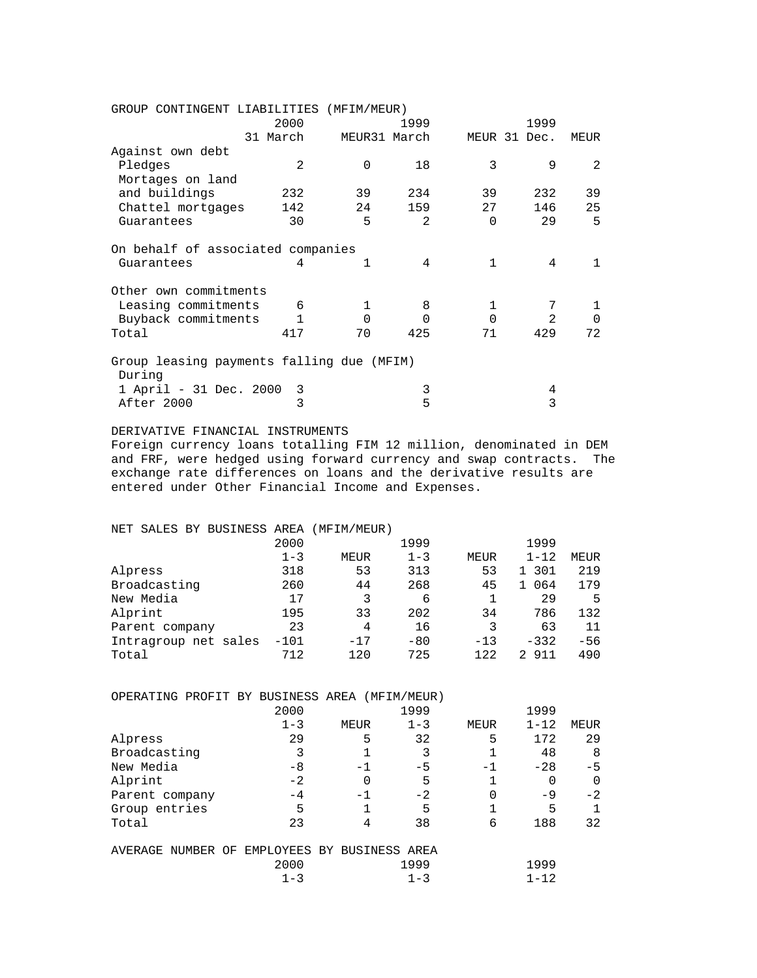| GROUP CONTINGENT LIABILITIES (MFIM/MEUR)            |              |              |                |              |                |                |
|-----------------------------------------------------|--------------|--------------|----------------|--------------|----------------|----------------|
|                                                     | 2000         |              | 1999           |              | 1999           |                |
|                                                     | 31 March     | MEUR31 March |                |              | MEUR 31 Dec.   | MEUR           |
| Against own debt                                    |              |              |                |              |                |                |
| Pledges                                             | 2            | $\Omega$     | 18             | 3            | 9              | $\mathfrak{D}$ |
| Mortages on land                                    |              |              |                |              |                |                |
| and buildings                                       | 232          | 39           | 234            | 39           | 232            | 39             |
| Chattel mortgages                                   | 142          | 24           | 159            | 27           | 146            | 25             |
| Guarantees                                          | 30           | 5            | $\mathfrak{D}$ | $\Omega$     | 29             | 5              |
| On behalf of associated companies                   |              |              |                |              |                |                |
| Guarantees                                          | 4            | 1            | 4              | $\mathbf{1}$ | 4              |                |
| Other own commitments                               |              |              |                |              |                |                |
| Leasing commitments                                 | 6            | 1            | 8              | $\mathbf{1}$ | 7              |                |
| Buyback commitments                                 | $\mathbf{1}$ | $\Omega$     | $\Omega$       | $\Omega$     | $\mathfrak{D}$ | $\Omega$       |
| Total                                               | 417          | 70           | 425            | 71           | 429            | 72             |
| Group leasing payments falling due (MFIM)<br>During |              |              |                |              |                |                |
|                                                     |              |              | 3              |              | 4              |                |
| 1 April - 31 Dec. 2000<br>After 2000                | -3<br>3      |              | 5              |              | 3              |                |
|                                                     |              |              |                |              |                |                |

# DERIVATIVE FINANCIAL INSTRUMENTS

Foreign currency loans totalling FIM 12 million, denominated in DEM and FRF, were hedged using forward currency and swap contracts. The exchange rate differences on loans and the derivative results are entered under Other Financial Income and Expenses.

| NET SALES BY BUSINESS AREA (MFIM/MEUR) |         |       |         |       |           |       |
|----------------------------------------|---------|-------|---------|-------|-----------|-------|
|                                        | 2000    |       | 1999    |       | 1999      |       |
|                                        | $1 - 3$ | MEUR  | $1 - 3$ | MEUR  | $1 - 12$  | MEUR  |
| Alpress                                | 318     | 53    | 313     | 53    | 1 301     | 219   |
| Broadcasting                           | 260     | 44    | 268     | 45    | 064<br>1. | 179   |
| New Media                              | 17      | 3     | 6       |       | 29        | 5     |
| Alprint                                | 195     | 33    | 202     | 34    | 786       | 132   |
| Parent company                         | 23      | 4     | 16      | 3     | 63        | 11    |
| Intragroup net sales                   | $-101$  | $-17$ | $-80$   | $-13$ | $-332$    | $-56$ |
| Total                                  | 712     | 120   | 725     | 122   | 2 911     | 490   |

| OPERATING PROFIT BY BUSINESS AREA (MFIM/MEUR) | 2000                                 |      | 1999    |      | 1999     |      |
|-----------------------------------------------|--------------------------------------|------|---------|------|----------|------|
|                                               |                                      |      |         |      |          |      |
|                                               | $1 - 3$                              | MEUR | $1 - 3$ | MEUR | $1 - 12$ | MEUR |
| Alpress                                       | 29                                   | 5    | 32      | 5    | 172      | 29   |
| Broadcasting                                  | 3                                    |      |         |      | 48       | 8    |
| New Media                                     | $-8$                                 | -1   | -5      | -1   | $-28$    | -5   |
| Alprint                                       | $-2$                                 | 0    | 5       |      | 0        |      |
| Parent company                                | -4                                   | -1   | $-2$    |      | -9       | $-2$ |
| Group entries                                 | 5                                    |      | 5       |      | 5        |      |
| Total                                         | 23                                   | 4    | 38      | 6    | 188      | 32   |
|                                               |                                      |      |         |      |          |      |
| AVERAGE                                       | NUMBER OF EMPLOYEES BY BUSINESS AREA |      |         |      |          |      |
|                                               | 2000                                 |      | 1999    |      | 1999     |      |
|                                               | $1 - 3$                              |      | $1 - 3$ |      | $1 - 12$ |      |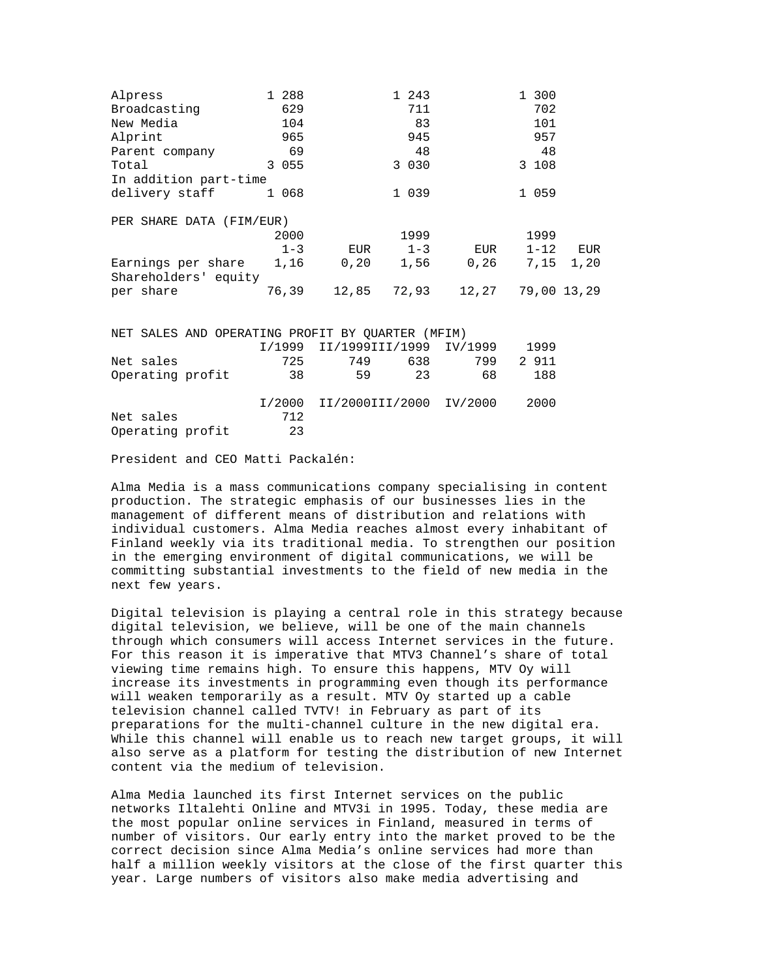| Alpress                                                                                                        | 1 288   |                                | 1 243       |                      | 1 300       |  |
|----------------------------------------------------------------------------------------------------------------|---------|--------------------------------|-------------|----------------------|-------------|--|
| Broadcasting                                                                                                   | 629     |                                | 711         |                      | 702         |  |
| New Media                                                                                                      | 104     |                                | 83          |                      | 101         |  |
| Alprint                                                                                                        | 965     |                                | 945         |                      | 957         |  |
| Parent company                                                                                                 | 69      |                                | 48          |                      | 48          |  |
| Total                                                                                                          | 3 0 5 5 |                                | 3 0 3 0     |                      | 3 108       |  |
| In addition part-time                                                                                          |         |                                |             |                      |             |  |
| delivery staff                                                                                                 | 1 068   |                                | 1 0 3 9     |                      | 1 059       |  |
| PER SHARE DATA (FIM/EUR)                                                                                       |         |                                |             |                      |             |  |
|                                                                                                                | 2000    |                                | 1999        |                      | 1999        |  |
|                                                                                                                | $1 - 3$ |                                |             | EUR 1-3 EUR 1-12 EUR |             |  |
| Earnings per share 1,16 0,20 1,56 0,26 7,15 1,20                                                               |         |                                |             |                      |             |  |
| Shareholders' equity                                                                                           |         |                                |             |                      |             |  |
| per share the state of the state of the state of the state of the state of the state of the state of the state | 76,39   |                                | 12,85 72,93 | 12,27                | 79,00 13,29 |  |
|                                                                                                                |         |                                |             |                      |             |  |
| NET SALES AND OPERATING PROFIT BY OUARTER (MFIM)                                                               |         |                                |             |                      |             |  |
|                                                                                                                |         | I/1999 II/1999III/1999 IV/1999 |             |                      | 1999        |  |
| Net sales                                                                                                      | 725     |                                | 749 638     | 799 —                | 2 911       |  |
| Operating profit                                                                                               | 38      | 59                             | 23          | 68                   | 188         |  |
|                                                                                                                |         |                                |             |                      |             |  |

 I/2000 II/2000III/2000 IV/2000 2000 Net sales 712 Operating profit 23

President and CEO Matti Packalén:

Alma Media is a mass communications company specialising in content production. The strategic emphasis of our businesses lies in the management of different means of distribution and relations with individual customers. Alma Media reaches almost every inhabitant of Finland weekly via its traditional media. To strengthen our position in the emerging environment of digital communications, we will be committing substantial investments to the field of new media in the next few years.

Digital television is playing a central role in this strategy because digital television, we believe, will be one of the main channels through which consumers will access Internet services in the future. For this reason it is imperative that MTV3 Channel's share of total viewing time remains high. To ensure this happens, MTV Oy will increase its investments in programming even though its performance will weaken temporarily as a result. MTV Oy started up a cable television channel called TVTV! in February as part of its preparations for the multi-channel culture in the new digital era. While this channel will enable us to reach new target groups, it will also serve as a platform for testing the distribution of new Internet content via the medium of television.

Alma Media launched its first Internet services on the public networks Iltalehti Online and MTV3i in 1995. Today, these media are the most popular online services in Finland, measured in terms of number of visitors. Our early entry into the market proved to be the correct decision since Alma Media's online services had more than half a million weekly visitors at the close of the first quarter this year. Large numbers of visitors also make media advertising and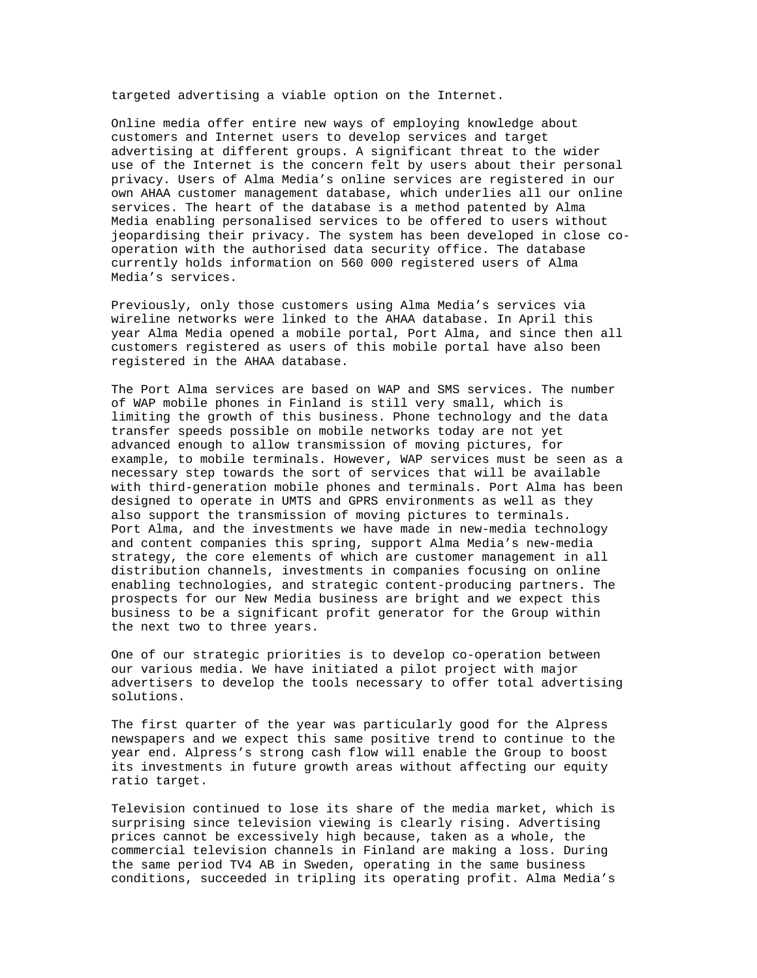targeted advertising a viable option on the Internet.

Online media offer entire new ways of employing knowledge about customers and Internet users to develop services and target advertising at different groups. A significant threat to the wider use of the Internet is the concern felt by users about their personal privacy. Users of Alma Media's online services are registered in our own AHAA customer management database, which underlies all our online services. The heart of the database is a method patented by Alma Media enabling personalised services to be offered to users without jeopardising their privacy. The system has been developed in close cooperation with the authorised data security office. The database currently holds information on 560 000 registered users of Alma Media's services.

Previously, only those customers using Alma Media's services via wireline networks were linked to the AHAA database. In April this year Alma Media opened a mobile portal, Port Alma, and since then all customers registered as users of this mobile portal have also been registered in the AHAA database.

The Port Alma services are based on WAP and SMS services. The number of WAP mobile phones in Finland is still very small, which is limiting the growth of this business. Phone technology and the data transfer speeds possible on mobile networks today are not yet advanced enough to allow transmission of moving pictures, for example, to mobile terminals. However, WAP services must be seen as a necessary step towards the sort of services that will be available with third-generation mobile phones and terminals. Port Alma has been designed to operate in UMTS and GPRS environments as well as they also support the transmission of moving pictures to terminals. Port Alma, and the investments we have made in new-media technology and content companies this spring, support Alma Media's new-media strategy, the core elements of which are customer management in all distribution channels, investments in companies focusing on online enabling technologies, and strategic content-producing partners. The prospects for our New Media business are bright and we expect this business to be a significant profit generator for the Group within the next two to three years.

One of our strategic priorities is to develop co-operation between our various media. We have initiated a pilot project with major advertisers to develop the tools necessary to offer total advertising solutions.

The first quarter of the year was particularly good for the Alpress newspapers and we expect this same positive trend to continue to the year end. Alpress's strong cash flow will enable the Group to boost its investments in future growth areas without affecting our equity ratio target.

Television continued to lose its share of the media market, which is surprising since television viewing is clearly rising. Advertising prices cannot be excessively high because, taken as a whole, the commercial television channels in Finland are making a loss. During the same period TV4 AB in Sweden, operating in the same business conditions, succeeded in tripling its operating profit. Alma Media's